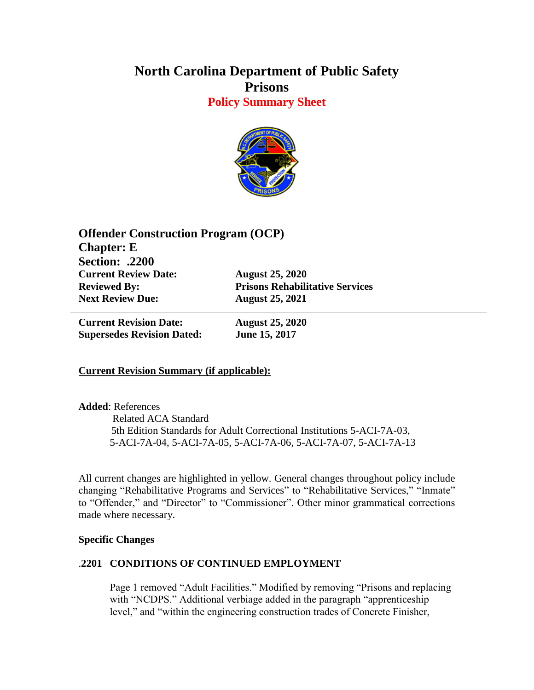# **North Carolina Department of Public Safety Prisons Policy Summary Sheet**



| <b>Offender Construction Program (OCP)</b> |  |
|--------------------------------------------|--|
|                                            |  |
|                                            |  |
| <b>August 25, 2020</b>                     |  |
| <b>Prisons Rehabilitative Services</b>     |  |
| <b>August 25, 2021</b>                     |  |
|                                            |  |

**Current Revision Date: August 25, 2020 Supersedes Revision Dated: June 15, 2017**

# **Current Revision Summary (if applicable):**

### **Added**: References

 Related ACA Standard 5th Edition Standards for Adult Correctional Institutions 5-ACI-7A-03, 5-ACI-7A-04, 5-ACI-7A-05, 5-ACI-7A-06, 5-ACI-7A-07, 5-ACI-7A-13

All current changes are highlighted in yellow. General changes throughout policy include changing "Rehabilitative Programs and Services" to "Rehabilitative Services," "Inmate" to "Offender," and "Director" to "Commissioner". Other minor grammatical corrections made where necessary.

### **Specific Changes**

# .**2201 CONDITIONS OF CONTINUED EMPLOYMENT**

Page 1 removed "Adult Facilities." Modified by removing "Prisons and replacing with "NCDPS." Additional verbiage added in the paragraph "apprenticeship" level," and "within the engineering construction trades of Concrete Finisher,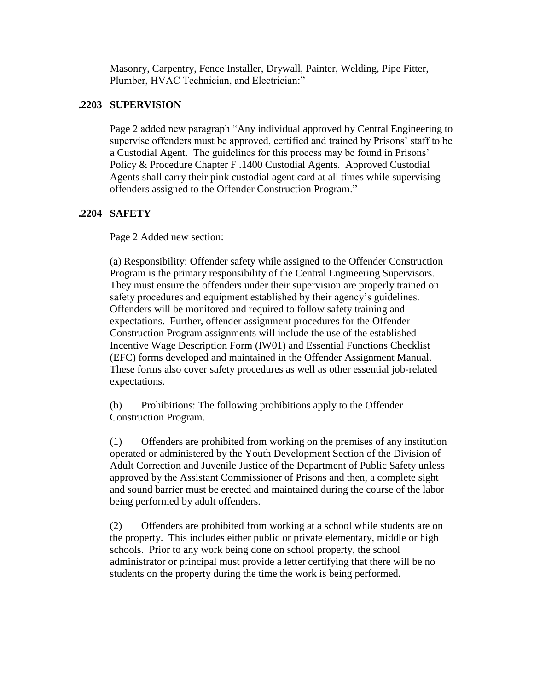Masonry, Carpentry, Fence Installer, Drywall, Painter, Welding, Pipe Fitter, Plumber, HVAC Technician, and Electrician:"

## **.2203 SUPERVISION**

Page 2 added new paragraph "Any individual approved by Central Engineering to supervise offenders must be approved, certified and trained by Prisons' staff to be a Custodial Agent. The guidelines for this process may be found in Prisons' Policy & Procedure Chapter F .1400 Custodial Agents. Approved Custodial Agents shall carry their pink custodial agent card at all times while supervising offenders assigned to the Offender Construction Program."

## **.2204 SAFETY**

Page 2 Added new section:

(a) Responsibility: Offender safety while assigned to the Offender Construction Program is the primary responsibility of the Central Engineering Supervisors. They must ensure the offenders under their supervision are properly trained on safety procedures and equipment established by their agency's guidelines. Offenders will be monitored and required to follow safety training and expectations. Further, offender assignment procedures for the Offender Construction Program assignments will include the use of the established Incentive Wage Description Form (IW01) and Essential Functions Checklist (EFC) forms developed and maintained in the Offender Assignment Manual. These forms also cover safety procedures as well as other essential job-related expectations.

(b) Prohibitions: The following prohibitions apply to the Offender Construction Program.

(1) Offenders are prohibited from working on the premises of any institution operated or administered by the Youth Development Section of the Division of Adult Correction and Juvenile Justice of the Department of Public Safety unless approved by the Assistant Commissioner of Prisons and then, a complete sight and sound barrier must be erected and maintained during the course of the labor being performed by adult offenders.

(2) Offenders are prohibited from working at a school while students are on the property. This includes either public or private elementary, middle or high schools. Prior to any work being done on school property, the school administrator or principal must provide a letter certifying that there will be no students on the property during the time the work is being performed.